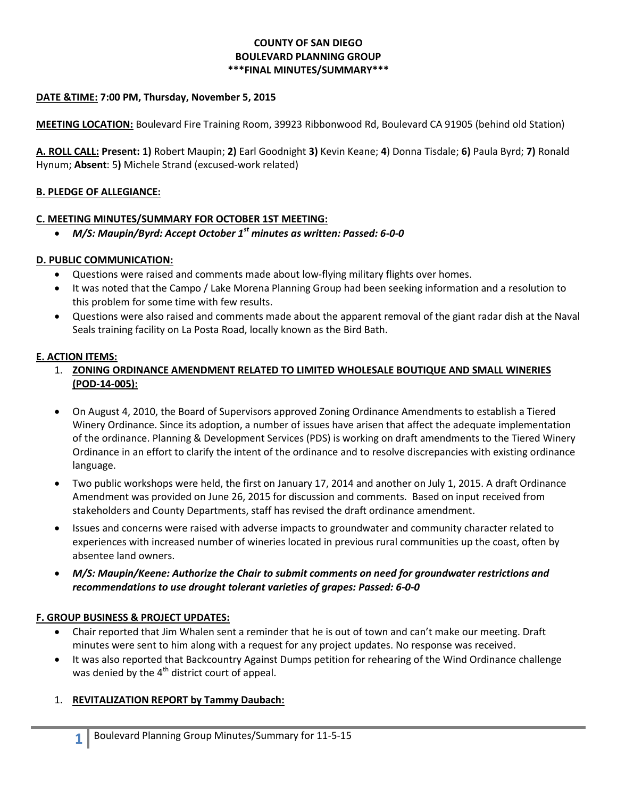### **COUNTY OF SAN DIEGO BOULEVARD PLANNING GROUP \*\*\*FINAL MINUTES/SUMMARY\*\*\***

#### **DATE &TIME: 7:00 PM, Thursday, November 5, 2015**

**MEETING LOCATION:** Boulevard Fire Training Room, 39923 Ribbonwood Rd, Boulevard CA 91905 (behind old Station)

**A. ROLL CALL: Present: 1)** Robert Maupin; **2)** Earl Goodnight **3)** Kevin Keane; **4**) Donna Tisdale; **6)** Paula Byrd; **7)** Ronald Hynum; **Absent**: 5**)** Michele Strand (excused-work related)

#### **B. PLEDGE OF ALLEGIANCE:**

#### **C. MEETING MINUTES/SUMMARY FOR OCTOBER 1ST MEETING:**

*M/S: Maupin/Byrd: Accept October 1st minutes as written: Passed: 6-0-0*

### **D. PUBLIC COMMUNICATION:**

- Questions were raised and comments made about low-flying military flights over homes.
- It was noted that the Campo / Lake Morena Planning Group had been seeking information and a resolution to this problem for some time with few results.
- Questions were also raised and comments made about the apparent removal of the giant radar dish at the Naval Seals training facility on La Posta Road, locally known as the Bird Bath.

### **E. ACTION ITEMS:**

## 1. **ZONING ORDINANCE AMENDMENT RELATED TO LIMITED WHOLESALE BOUTIQUE AND SMALL WINERIES (POD-14-005):**

- On August 4, 2010, the Board of Supervisors approved Zoning Ordinance Amendments to establish a Tiered Winery Ordinance. Since its adoption, a number of issues have arisen that affect the adequate implementation of the ordinance. Planning & Development Services (PDS) is working on draft amendments to the Tiered Winery Ordinance in an effort to clarify the intent of the ordinance and to resolve discrepancies with existing ordinance language.
- Two public workshops were held, the first on January 17, 2014 and another on July 1, 2015. A draft Ordinance Amendment was provided on June 26, 2015 for discussion and comments. Based on input received from stakeholders and County Departments, staff has revised the draft ordinance amendment.
- Issues and concerns were raised with adverse impacts to groundwater and community character related to experiences with increased number of wineries located in previous rural communities up the coast, often by absentee land owners.
- *M/S: Maupin/Keene: Authorize the Chair to submit comments on need for groundwater restrictions and recommendations to use drought tolerant varieties of grapes: Passed: 6-0-0*

### **F. GROUP BUSINESS & PROJECT UPDATES:**

- Chair reported that Jim Whalen sent a reminder that he is out of town and can't make our meeting. Draft minutes were sent to him along with a request for any project updates. No response was received.
- It was also reported that Backcountry Against Dumps petition for rehearing of the Wind Ordinance challenge was denied by the  $4<sup>th</sup>$  district court of appeal.

#### 1. **REVITALIZATION REPORT by Tammy Daubach:**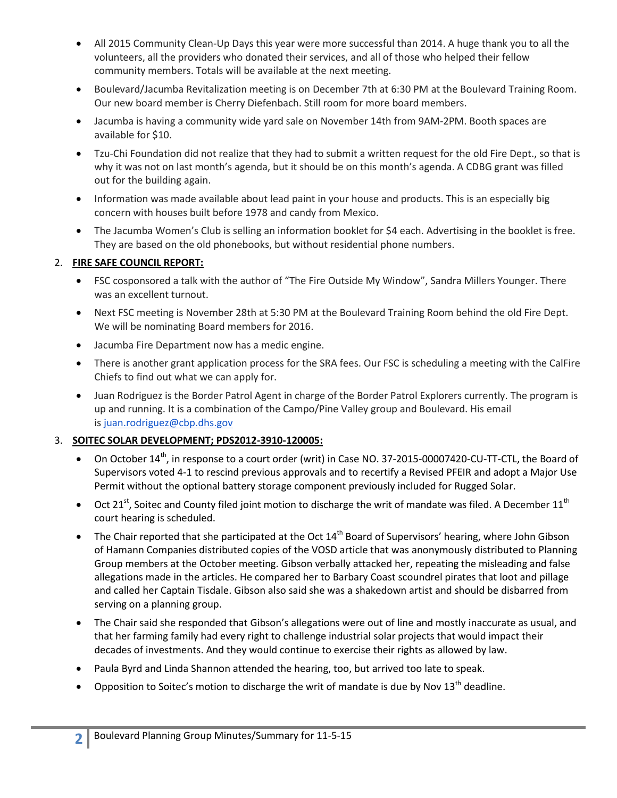- All 2015 Community Clean-Up Days this year were more successful than 2014. A huge thank you to all the volunteers, all the providers who donated their services, and all of those who helped their fellow community members. Totals will be available at the next meeting.
- Boulevard/Jacumba Revitalization meeting is on December 7th at 6:30 PM at the Boulevard Training Room. Our new board member is Cherry Diefenbach. Still room for more board members.
- Jacumba is having a community wide yard sale on November 14th from 9AM-2PM. Booth spaces are available for \$10.
- Tzu-Chi Foundation did not realize that they had to submit a written request for the old Fire Dept., so that is why it was not on last month's agenda, but it should be on this month's agenda. A CDBG grant was filled out for the building again.
- Information was made available about lead paint in your house and products. This is an especially big concern with houses built before 1978 and candy from Mexico.
- The Jacumba Women's Club is selling an information booklet for \$4 each. Advertising in the booklet is free. They are based on the old phonebooks, but without residential phone numbers.

## 2. **FIRE SAFE COUNCIL REPORT:**

- FSC cosponsored a talk with the author of "The Fire Outside My Window", Sandra Millers Younger. There was an excellent turnout.
- Next FSC meeting is November 28th at 5:30 PM at the Boulevard Training Room behind the old Fire Dept. We will be nominating Board members for 2016.
- Jacumba Fire Department now has a medic engine.
- There is another grant application process for the SRA fees. Our FSC is scheduling a meeting with the CalFire Chiefs to find out what we can apply for.
- Juan Rodriguez is the Border Patrol Agent in charge of the Border Patrol Explorers currently. The program is up and running. It is a combination of the Campo/Pine Valley group and Boulevard. His email is juan.rodriguez@cbp.dhs.gov

# 3. **SOITEC SOLAR DEVELOPMENT; PDS2012-3910-120005:**

- On October 14<sup>th</sup>, in response to a court order (writ) in Case NO. 37-2015-00007420-CU-TT-CTL, the Board of Supervisors voted 4-1 to rescind previous approvals and to recertify a Revised PFEIR and adopt a Major Use Permit without the optional battery storage component previously included for Rugged Solar.
- $\bullet$  Oct 21<sup>st</sup>, Soitec and County filed joint motion to discharge the writ of mandate was filed. A December 11<sup>th</sup> court hearing is scheduled.
- The Chair reported that she participated at the Oct  $14<sup>th</sup>$  Board of Supervisors' hearing, where John Gibson of Hamann Companies distributed copies of the VOSD article that was anonymously distributed to Planning Group members at the October meeting. Gibson verbally attacked her, repeating the misleading and false allegations made in the articles. He compared her to Barbary Coast scoundrel pirates that loot and pillage and called her Captain Tisdale. Gibson also said she was a shakedown artist and should be disbarred from serving on a planning group.
- The Chair said she responded that Gibson's allegations were out of line and mostly inaccurate as usual, and that her farming family had every right to challenge industrial solar projects that would impact their decades of investments. And they would continue to exercise their rights as allowed by law.
- Paula Byrd and Linda Shannon attended the hearing, too, but arrived too late to speak.
- Opposition to Soitec's motion to discharge the writ of mandate is due by Nov  $13<sup>th</sup>$  deadline.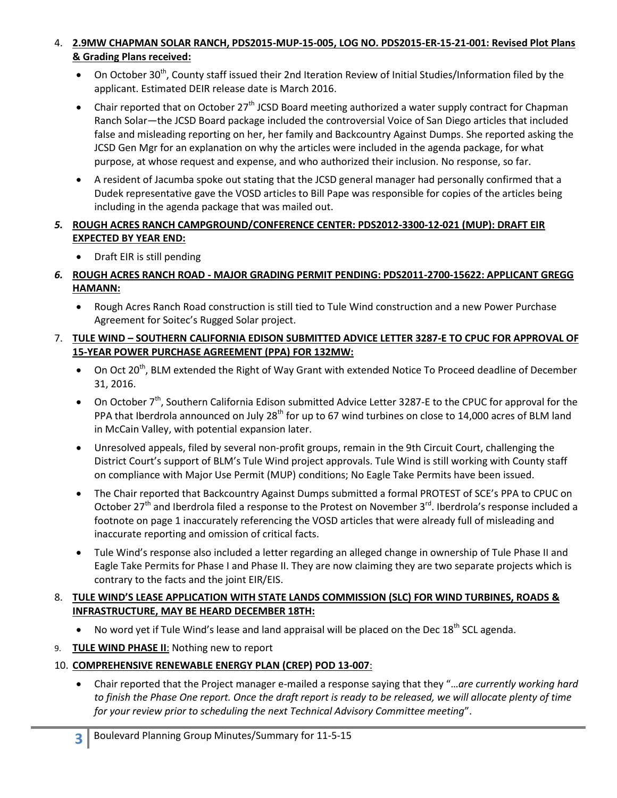- 4. **2.9MW CHAPMAN SOLAR RANCH, PDS2015-MUP-15-005, LOG NO. PDS2015-ER-15-21-001: Revised Plot Plans & Grading Plans received:**
	- On October 30<sup>th</sup>, County staff issued their 2nd Iteration Review of Initial Studies/Information filed by the applicant. Estimated DEIR release date is March 2016.
	- Chair reported that on October 27<sup>th</sup> JCSD Board meeting authorized a water supply contract for Chapman Ranch Solar—the JCSD Board package included the controversial Voice of San Diego articles that included false and misleading reporting on her, her family and Backcountry Against Dumps. She reported asking the JCSD Gen Mgr for an explanation on why the articles were included in the agenda package, for what purpose, at whose request and expense, and who authorized their inclusion. No response, so far.
	- A resident of Jacumba spoke out stating that the JCSD general manager had personally confirmed that a Dudek representative gave the VOSD articles to Bill Pape was responsible for copies of the articles being including in the agenda package that was mailed out.

## *5.* **ROUGH ACRES RANCH CAMPGROUND/CONFERENCE CENTER: PDS2012-3300-12-021 (MUP): DRAFT EIR EXPECTED BY YEAR END:**

• Draft EIR is still pending

# *6.* **ROUGH ACRES RANCH ROAD - MAJOR GRADING PERMIT PENDING: PDS2011-2700-15622: APPLICANT GREGG HAMANN:**

 Rough Acres Ranch Road construction is still tied to Tule Wind construction and a new Power Purchase Agreement for Soitec's Rugged Solar project.

# 7. **TULE WIND – SOUTHERN CALIFORNIA EDISON SUBMITTED ADVICE LETTER 3287-E TO CPUC FOR APPROVAL OF 15-YEAR POWER PURCHASE AGREEMENT (PPA) FOR 132MW:**

- On Oct 20<sup>th</sup>, BLM extended the Right of Way Grant with extended Notice To Proceed deadline of December 31, 2016.
- $\bullet$  On October 7<sup>th</sup>, Southern California Edison submitted Advice Letter 3287-E to the CPUC for approval for the PPA that Iberdrola announced on July  $28<sup>th</sup>$  for up to 67 wind turbines on close to 14,000 acres of BLM land in McCain Valley, with potential expansion later.
- Unresolved appeals, filed by several non-profit groups, remain in the 9th Circuit Court, challenging the District Court's support of BLM's Tule Wind project approvals. Tule Wind is still working with County staff on compliance with Major Use Permit (MUP) conditions; No Eagle Take Permits have been issued.
- The Chair reported that Backcountry Against Dumps submitted a formal PROTEST of SCE's PPA to CPUC on October 27<sup>th</sup> and Iberdrola filed a response to the Protest on November 3<sup>rd</sup>. Iberdrola's response included a footnote on page 1 inaccurately referencing the VOSD articles that were already full of misleading and inaccurate reporting and omission of critical facts.
- Tule Wind's response also included a letter regarding an alleged change in ownership of Tule Phase II and Eagle Take Permits for Phase I and Phase II. They are now claiming they are two separate projects which is contrary to the facts and the joint EIR/EIS.

# 8. **TULE WIND'S LEASE APPLICATION WITH STATE LANDS COMMISSION (SLC) FOR WIND TURBINES, ROADS & INFRASTRUCTURE, MAY BE HEARD DECEMBER 18TH:**

- $\bullet$  No word yet if Tule Wind's lease and land appraisal will be placed on the Dec 18<sup>th</sup> SCL agenda.
- 9. **TULE WIND PHASE II**: Nothing new to report
- 10. **COMPREHENSIVE RENEWABLE ENERGY PLAN (CREP) POD 13-007**:
	- Chair reported that the Project manager e-mailed a response saying that they "…*are currently working hard*  to finish the Phase One report. Once the draft report is ready to be released, we will allocate plenty of time *for your review prior to scheduling the next Technical Advisory Committee meeting*".